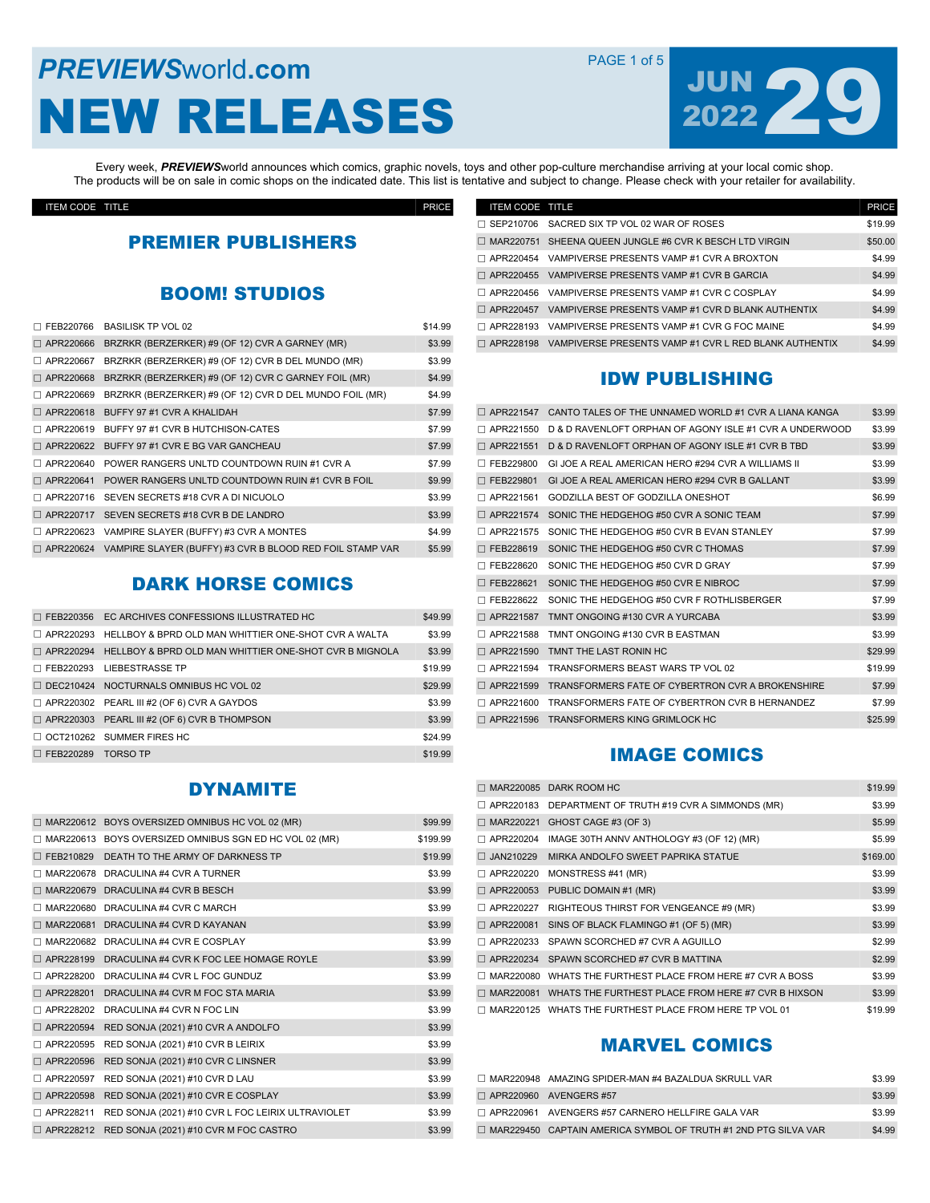# **PREVIEWS** World **.com PAGE 1 of 5** NEW RELEASES



Every week, *PREVIEWS*world announces which comics, graphic novels, toys and other pop-culture merchandise arriving at your local comic shop. The products will be on sale in comic shops on the indicated date. This list is tentative and subject to change. Please check with your retailer for availability.

ITEM CODE TITLE PRICE

## PREMIER PUBLISHERS

#### BOOM! STUDIOS

| FEB220766        | <b>BASILISK TP VOL 02</b>                                | \$14.99 |
|------------------|----------------------------------------------------------|---------|
| APR220666        | BRZRKR (BERZERKER) #9 (OF 12) CVR A GARNEY (MR)          | \$3.99  |
| APR220667        | BRZRKR (BERZERKER) #9 (OF 12) CVR B DEL MUNDO (MR)       | \$3.99  |
| □ APR220668      | BRZRKR (BERZERKER) #9 (OF 12) CVR C GARNEY FOIL (MR)     | \$4.99  |
| APR220669        | BRZRKR (BERZERKER) #9 (OF 12) CVR D DEL MUNDO FOIL (MR)  | \$4.99  |
| □ APR220618      | BUFFY 97 #1 CVR A KHALIDAH                               | \$7.99  |
| $\Box$ APR220619 | BUFFY 97 #1 CVR B HUTCHISON-CATES                        | \$7.99  |
| APR220622        | BUFFY 97 #1 CVR E BG VAR GANCHEAU                        | \$7.99  |
| APR220640        | POWER RANGERS UNLTD COUNTDOWN RUIN #1 CVR A              | \$7.99  |
| APR220641        | POWER RANGERS UNLTD COUNTDOWN RUIN #1 CVR B FOIL         | \$9.99  |
| APR220716        | SEVEN SECRETS #18 CVR A DI NICUOLO                       | \$3.99  |
| APR220717        | SEVEN SECRETS #18 CVR B DE LANDRO                        | \$3.99  |
| APR220623        | VAMPIRE SLAYER (BUFFY) #3 CVR A MONTES                   | \$4.99  |
| □ APR220624      | VAMPIRE SLAYER (BUFFY) #3 CVR B BLOOD RED FOIL STAMP VAR | \$5.99  |

## DARK HORSE COMICS

|                  | □ FEB220356 EC ARCHIVES CONFESSIONS ILLUSTRATED HC     | \$49.99 |
|------------------|--------------------------------------------------------|---------|
| $\Box$ APR220293 | HELLBOY & BPRD OLD MAN WHITTIER ONE-SHOT CVR A WALTA   | \$3.99  |
| $\Box$ APR220294 | HELLBOY & BPRD OLD MAN WHITTIER ONE-SHOT CVR B MIGNOLA | \$3.99  |
|                  | □ FEB220293 LIEBESTRASSE TP                            | \$19.99 |
|                  | $\Box$ DEC210424 NOCTURNALS OMNIBUS HC VOL 02          | \$29.99 |
|                  | $\Box$ APR220302 PEARL III #2 (OF 6) CVR A GAYDOS      | \$3.99  |
| □ APR220303      | PEARL III #2 (OF 6) CVR B THOMPSON                     | \$3.99  |
|                  | $\Box$ OCT210262 SUMMER FIRES HC                       | \$24.99 |
| □ FEB220289      | TORSO TP                                               | \$19.99 |

## DYNAMITE

|             | MAR220612 BOYS OVERSIZED OMNIBUS HC VOL 02 (MR)        | \$99.99  |
|-------------|--------------------------------------------------------|----------|
|             | MAR220613 BOYS OVERSIZED OMNIBUS SGN ED HC VOL 02 (MR) | \$199.99 |
| □ FEB210829 | DEATH TO THE ARMY OF DARKNESS TP                       | \$19.99  |
|             | MAR220678 DRACULINA #4 CVR A TURNER                    | \$3.99   |
|             | MAR220679 DRACULINA #4 CVR B BESCH                     | \$3.99   |
| MAR220680   | DRACULINA #4 CVR C MARCH                               | \$3.99   |
| □ MAR220681 | DRACULINA #4 CVR D KAYANAN                             | \$3.99   |
| MAR220682   | DRACULINA #4 CVR E COSPLAY                             | \$3.99   |
| □ APR228199 | DRACULINA #4 CVR K FOC LEE HOMAGE ROYLE                | \$3.99   |
| APR228200   | DRACULINA #4 CVR L FOC GUNDUZ                          | \$3.99   |
| □ APR228201 | DRACULINA #4 CVR M FOC STA MARIA                       | \$3.99   |
| APR228202   | DRACULINA #4 CVR N FOC LIN                             | \$3.99   |
| □ APR220594 | RED SONJA (2021) #10 CVR A ANDOLFO                     | \$3.99   |
| APR220595   | RED SONJA (2021) #10 CVR B LEIRIX                      | \$3.99   |
| □ APR220596 | RED SONJA (2021) #10 CVR C LINSNER                     | \$3.99   |
| APR220597   | RED SONJA (2021) #10 CVR D LAU                         | \$3.99   |
| □ APR220598 | RED SONJA (2021) #10 CVR E COSPLAY                     | \$3.99   |
| APR228211   | RED SONJA (2021) #10 CVR L FOC LEIRIX ULTRAVIOLET      | \$3.99   |
| □ APR228212 | RED SONJA (2021) #10 CVR M FOC CASTRO                  | \$3.99   |

| <b>ITEM CODE TITLE</b> |                                                       | <b>PRICE</b> |
|------------------------|-------------------------------------------------------|--------------|
| $\Box$ SEP210706       | SACRED SIX TP VOL 02 WAR OF ROSES                     | \$19.99      |
| $\Box$ MAR220751       | SHEENA QUEEN JUNGLE #6 CVR K BESCH LTD VIRGIN         | \$50.00      |
| □ APR220454            | VAMPIVERSE PRESENTS VAMP #1 CVR A BROXTON             | \$4.99       |
| $\Box$ APR220455       | VAMPIVERSE PRESENTS VAMP #1 CVR B GARCIA              | \$4.99       |
| □ APR220456            | VAMPIVERSE PRESENTS VAMP #1 CVR C COSPLAY             | \$4.99       |
| $\Box$ APR220457       | VAMPIVERSE PRESENTS VAMP #1 CVR D BLANK AUTHENTIX     | \$4.99       |
| $\Box$ APR228193       | VAMPIVERSE PRESENTS VAMP #1 CVR G FOC MAINE           | \$4.99       |
| $\Box$ APR228198       | VAMPIVERSE PRESENTS VAMP #1 CVR L RED BLANK AUTHENTIX | \$4.99       |

## IDW PUBLISHING

| APR221547        | CANTO TALES OF THE UNNAMED WORLD #1 CVR A LIANA KANGA   | \$3.99  |
|------------------|---------------------------------------------------------|---------|
| APR221550        | D & D RAVENLOFT ORPHAN OF AGONY ISLE #1 CVR A UNDERWOOD | \$3.99  |
| APR221551        | D & D RAVENLOFT ORPHAN OF AGONY ISLE #1 CVR B TBD       | \$3.99  |
| FEB229800        | GI JOE A REAL AMERICAN HERO #294 CVR A WILLIAMS II      | \$3.99  |
| $\Box$ FEB229801 | GI JOE A REAL AMERICAN HERO #294 CVR B GALLANT          | \$3.99  |
| APR221561        | GODZILLA BEST OF GODZILLA ONESHOT                       | \$6.99  |
| APR221574        | SONIC THE HEDGEHOG #50 CVR A SONIC TEAM                 | \$7.99  |
| APR221575        | SONIC THE HEDGEHOG #50 CVR B EVAN STANLEY               | \$7.99  |
| $\Box$ FEB228619 | SONIC THE HEDGEHOG #50 CVR C THOMAS                     | \$7.99  |
| FEB228620        | SONIC THE HEDGEHOG #50 CVR D GRAY                       | \$7.99  |
| $\Box$ FEB228621 | SONIC THE HEDGEHOG #50 CVR E NIBROC                     | \$7.99  |
| FEB228622        | SONIC THE HEDGEHOG #50 CVR F ROTHLISBERGER              | \$7.99  |
| APR221587        | TMNT ONGOING #130 CVR A YURCABA                         | \$3.99  |
| APR221588        | TMNT ONGOING #130 CVR B EASTMAN                         | \$3.99  |
| APR221590        | TMNT THE LAST RONIN HC                                  | \$29.99 |
| APR221594        | TRANSFORMERS BEAST WARS TP VOL 02                       | \$19.99 |
| APR221599        | TRANSFORMERS FATE OF CYBERTRON CVR A BROKENSHIRE        | \$7.99  |
| APR221600        | TRANSFORMERS FATE OF CYBERTRON CVR B HERNANDEZ          | \$7.99  |
|                  | APR221596 TRANSFORMERS KING GRIMLOCK HC                 | \$25.99 |

#### IMAGE COMICS

|                  | $\Box$ MAR220085 DARK ROOM HC                                | \$19.99  |
|------------------|--------------------------------------------------------------|----------|
| APR220183        | DEPARTMENT OF TRUTH #19 CVR A SIMMONDS (MR)                  | \$3.99   |
| □ MAR220221      | GHOST CAGE #3 (OF 3)                                         | \$5.99   |
| APR220204        | IMAGE 30TH ANNV ANTHOLOGY #3 (OF 12) (MR)                    | \$5.99   |
| $\Box$ JAN210229 | MIRKA ANDOLFO SWEET PAPRIKA STATUE                           | \$169.00 |
| □ APR220220      | MONSTRESS #41 (MR)                                           | \$3.99   |
| □ APR220053      | PUBLIC DOMAIN #1 (MR)                                        | \$3.99   |
| APR220227        | RIGHTEOUS THIRST FOR VENGEANCE #9 (MR)                       | \$3.99   |
| □ APR220081      | SINS OF BLACK FLAMINGO #1 (OF 5) (MR)                        | \$3.99   |
| APR220233        | SPAWN SCORCHED #7 CVR A AGUILLO                              | \$2.99   |
| $\Box$ APR220234 | SPAWN SCORCHED #7 CVR B MATTINA                              | \$2.99   |
| MAR220080        | WHATS THE FURTHEST PLACE FROM HERE #7 CVR A BOSS             | \$3.99   |
|                  | MAR220081 WHATS THE FURTHEST PLACE FROM HERE #7 CVR B HIXSON | \$3.99   |
|                  | MAR220125 WHATS THE FURTHEST PLACE FROM HERE TP VOL 01       | \$19.99  |

## MARVEL COMICS

| $\Box$ MAR220948 AMAZING SPIDER-MAN #4 BAZALDUA SKRULL VAR            | \$3.99 |
|-----------------------------------------------------------------------|--------|
| $\Box$ APR220960 AVENGERS #57                                         | \$3.99 |
| $\Box$ APR220961 AVENGERS #57 CARNERO HELLFIRE GALA VAR               | \$3.99 |
| $\Box$ MAR229450 CAPTAIN AMERICA SYMBOL OF TRUTH #1 2ND PTG SILVA VAR | \$4.99 |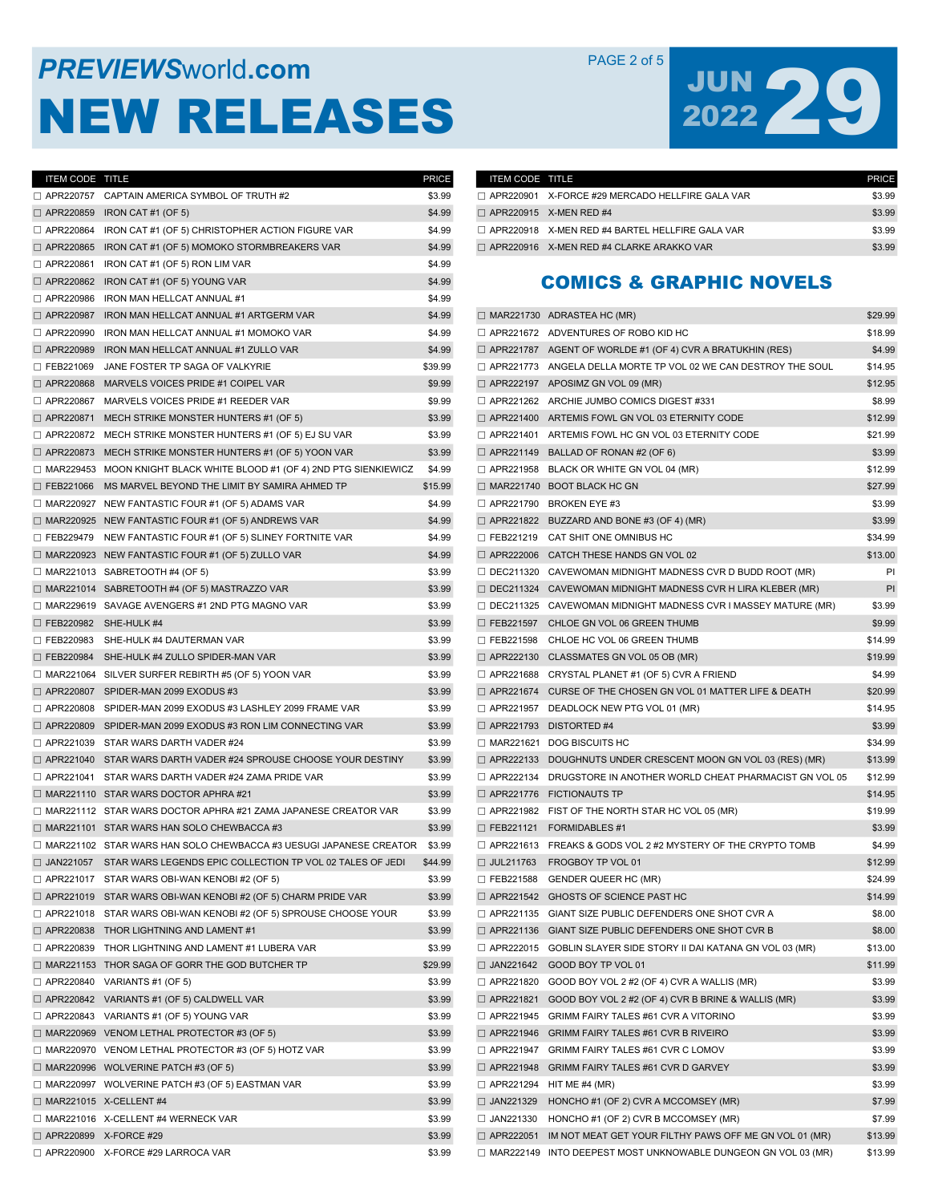# **PREVIEWS** WORLD **COM** PAGE 2 of 5 NEW RELEASES



| ITEM CODE TITLE         |                                                                              | PRICE   |
|-------------------------|------------------------------------------------------------------------------|---------|
| □ APR220757             | CAPTAIN AMERICA SYMBOL OF TRUTH #2                                           | \$3.99  |
|                         | $\Box$ APR220859 IRON CAT #1 (OF 5)                                          | \$4.99  |
|                         | $\Box$ APR220864 IRON CAT #1 (OF 5) CHRISTOPHER ACTION FIGURE VAR            | \$4.99  |
| □ APR220865             | IRON CAT #1 (OF 5) MOMOKO STORMBREAKERS VAR                                  | \$4.99  |
| □ APR220861             | IRON CAT #1 (OF 5) RON LIM VAR                                               | \$4.99  |
| □ APR220862             | IRON CAT #1 (OF 5) YOUNG VAR                                                 | \$4.99  |
|                         | APR220986 IRON MAN HELLCAT ANNUAL #1                                         | \$4.99  |
| □ APR220987             | IRON MAN HELLCAT ANNUAL #1 ARTGERM VAR                                       | \$4.99  |
| □ APR220990             | IRON MAN HELLCAT ANNUAL #1 MOMOKO VAR                                        | \$4.99  |
| □ APR220989             | IRON MAN HELLCAT ANNUAL #1 ZULLO VAR                                         | \$4.99  |
| □ FEB221069             | JANE FOSTER TP SAGA OF VALKYRIE                                              | \$39.99 |
| □ APR220868             | MARVELS VOICES PRIDE #1 COIPEL VAR                                           | \$9.99  |
| □ APR220867             | MARVELS VOICES PRIDE #1 REEDER VAR                                           | \$9.99  |
| □ APR220871             | MECH STRIKE MONSTER HUNTERS #1 (OF 5)                                        | \$3.99  |
|                         | $\Box$ APR220872 MECH STRIKE MONSTER HUNTERS #1 (OF 5) EJ SU VAR             | \$3.99  |
|                         | $\Box$ APR220873 MECH STRIKE MONSTER HUNTERS #1 (OF 5) YOON VAR              | \$3.99  |
|                         | $\Box$ MAR229453 MOON KNIGHT BLACK WHITE BLOOD #1 (OF 4) 2ND PTG SIENKIEWICZ | \$4.99  |
| $\Box$ FEB221066        | MS MARVEL BEYOND THE LIMIT BY SAMIRA AHMED TP                                | \$15.99 |
|                         | $\Box$ MAR220927 NEW FANTASTIC FOUR #1 (OF 5) ADAMS VAR                      | \$4.99  |
|                         | $\Box$ MAR220925 NEW FANTASTIC FOUR #1 (OF 5) ANDREWS VAR                    | \$4.99  |
| □ FEB229479             | NEW FANTASTIC FOUR #1 (OF 5) SLINEY FORTNITE VAR                             | \$4.99  |
|                         | $\Box$ MAR220923 NEW FANTASTIC FOUR #1 (OF 5) ZULLO VAR                      | \$4.99  |
|                         | $\Box$ MAR221013 SABRETOOTH #4 (OF 5)                                        | \$3.99  |
|                         | MAR221014 SABRETOOTH #4 (OF 5) MASTRAZZO VAR                                 | \$3.99  |
|                         | □ MAR229619 SAVAGE AVENGERS #1 2ND PTG MAGNO VAR                             | \$3.99  |
| □ FEB220982             | SHE-HULK #4                                                                  | \$3.99  |
|                         | E FEB220983 SHE-HULK #4 DAUTERMAN VAR                                        | \$3.99  |
| □ FEB220984             | SHE-HULK #4 ZULLO SPIDER-MAN VAR                                             | \$3.99  |
|                         | $\Box$ MAR221064 SILVER SURFER REBIRTH #5 (OF 5) YOON VAR                    | \$3.99  |
|                         | $\Box$ APR220807 SPIDER-MAN 2099 EXODUS #3                                   | \$3.99  |
|                         | $\Box$ APR220808 SPIDER-MAN 2099 EXODUS #3 LASHLEY 2099 FRAME VAR            | \$3.99  |
|                         | $\Box$ APR220809 SPIDER-MAN 2099 EXODUS #3 RON LIM CONNECTING VAR            | \$3.99  |
|                         | $\Box$ APR221039 STAR WARS DARTH VADER #24                                   | \$3.99  |
|                         | $\Box$ APR221040 STAR WARS DARTH VADER #24 SPROUSE CHOOSE YOUR DESTINY       | \$3.99  |
|                         | $\Box$ APR221041 STAR WARS DARTH VADER #24 ZAMA PRIDE VAR                    | \$3.99  |
|                         | $\Box$ MAR221110 STAR WARS DOCTOR APHRA #21                                  | \$3.99  |
|                         | $\Box$ MAR221112 STAR WARS DOCTOR APHRA #21 ZAMA JAPANESE CREATOR VAR        | \$3.99  |
|                         | $\Box$ MAR221101 STAR WARS HAN SOLO CHEWBACCA #3                             | \$3.99  |
|                         | □ MAR221102 STAR WARS HAN SOLO CHEWBACCA #3 UESUGI JAPANESE CREATOR          | \$3.99  |
|                         | $\Box$ JAN221057 STAR WARS LEGENDS EPIC COLLECTION TP VOL 02 TALES OF JEDI   | \$44.99 |
|                         | $\Box$ APR221017 STAR WARS OBI-WAN KENOBI#2 (OF 5)                           | \$3.99  |
|                         |                                                                              |         |
|                         | $\Box$ APR221019 STAR WARS OBI-WAN KENOBI #2 (OF 5) CHARM PRIDE VAR          | \$3.99  |
|                         | $\Box$ APR221018 STAR WARS OBI-WAN KENOBI #2 (OF 5) SPROUSE CHOOSE YOUR      | \$3.99  |
|                         | $\Box$ APR220838 THOR LIGHTNING AND LAMENT#1                                 | \$3.99  |
|                         | APR220839 THOR LIGHTNING AND LAMENT #1 LUBERA VAR                            | \$3.99  |
|                         | □ MAR221153 THOR SAGA OF GORR THE GOD BUTCHER TP                             | \$29.99 |
|                         | $\Box$ APR220840 VARIANTS #1 (OF 5)                                          | \$3.99  |
|                         | $\Box$ APR220842 VARIANTS #1 (OF 5) CALDWELL VAR                             | \$3.99  |
|                         | $\Box$ APR220843 VARIANTS #1 (OF 5) YOUNG VAR                                | \$3.99  |
|                         | $\Box$ MAR220969 VENOM LETHAL PROTECTOR #3 (OF 5)                            | \$3.99  |
|                         | $\Box$ MAR220970 VENOM LETHAL PROTECTOR #3 (OF 5) HOTZ VAR                   | \$3.99  |
|                         | $\Box$ MAR220996 WOLVERINE PATCH #3 (OF 5)                                   | \$3.99  |
|                         | $\Box$ MAR220997 WOLVERINE PATCH #3 (OF 5) EASTMAN VAR                       | \$3.99  |
|                         | $\Box$ MAR221015 X-CELLENT#4                                                 | \$3.99  |
|                         | $\Box$ MAR221016 X-CELLENT #4 WERNECK VAR                                    | \$3.99  |
| □ APR220899 X-FORCE #29 |                                                                              | \$3.99  |
|                         | □ APR220900 X-FORCE #29 LARROCA VAR                                          | \$3.99  |

| <b>ITEM CODE TITLE</b> |                                                        | <b>PRICE</b> |
|------------------------|--------------------------------------------------------|--------------|
|                        | $\Box$ APR220901 X-FORCE #29 MERCADO HELLFIRE GALA VAR | \$3.99       |
|                        | $\Box$ APR220915 X-MEN RED #4                          | \$3.99       |
|                        | $\Box$ APR220918 X-MEN RED #4 BARTEL HELLFIRE GALA VAR | \$3.99       |
|                        | $\Box$ APR220916 X-MEN RED #4 CLARKE ARAKKO VAR        | \$3.99       |

#### COMICS & GRAPHIC NOVELS

|                  |                                                                        | \$29.99 |
|------------------|------------------------------------------------------------------------|---------|
|                  | $\Box$ APR221672 ADVENTURES OF ROBO KID HC                             | \$18.99 |
|                  | $\Box$ APR221787 AGENT OF WORLDE #1 (OF 4) CVR A BRATUKHIN (RES)       | \$4.99  |
|                  | APR221773 ANGELA DELLA MORTE TP VOL 02 WE CAN DESTROY THE SOUL         | \$14.95 |
|                  | $\Box$ APR222197 APOSIMZ GN VOL 09 (MR)                                | \$12.95 |
|                  | □ APR221262 ARCHIE JUMBO COMICS DIGEST #331                            | \$8.99  |
|                  | APR221400 ARTEMIS FOWL GN VOL 03 ETERNITY CODE                         | \$12.99 |
|                  | APR221401 ARTEMIS FOWL HC GN VOL 03 ETERNITY CODE                      | \$21.99 |
|                  | $\Box$ APR221149 BALLAD OF RONAN #2 (OF 6)                             | \$3.99  |
|                  | $\Box$ APR221958 BLACK OR WHITE GN VOL 04 (MR)                         | \$12.99 |
|                  | $\Box$ MAR221740 BOOT BLACK HC GN                                      | \$27.99 |
|                  | $\Box$ APR221790 BROKEN EYE #3                                         | \$3.99  |
|                  | $\Box$ APR221822 BUZZARD AND BONE #3 (OF 4) (MR)                       | \$3.99  |
| □ FEB221219      | CAT SHIT ONE OMNIBUS HC                                                | \$34.99 |
| □ APR222006      | CATCH THESE HANDS GN VOL 02                                            | \$13.00 |
|                  | $\Box$ DEC211320 CAVEWOMAN MIDNIGHT MADNESS CVR D BUDD ROOT (MR)       | PI      |
|                  | $\Box$ DEC211324 CAVEWOMAN MIDNIGHT MADNESS CVR H LIRA KLEBER (MR)     | PI      |
|                  | $\Box$ DEC211325 CAVEWOMAN MIDNIGHT MADNESS CVR I MASSEY MATURE (MR)   | \$3.99  |
|                  | E FEB221597 CHLOE GN VOL 06 GREEN THUMB                                | \$9.99  |
|                  | E FEB221598 CHLOE HC VOL 06 GREEN THUMB                                | \$14.99 |
|                  | $\Box$ APR222130 CLASSMATES GN VOL 05 OB (MR)                          | \$19.99 |
|                  | $\Box$ APR221688 CRYSTAL PLANET #1 (OF 5) CVR A FRIEND                 | \$4.99  |
| □ APR221674      | CURSE OF THE CHOSEN GN VOL 01 MATTER LIFE & DEATH                      | \$20.99 |
|                  | $\Box$ APR221957 DEADLOCK NEW PTG VOL 01 (MR)                          | \$14.95 |
|                  | $\Box$ APR221793 DISTORTED #4                                          | \$3.99  |
|                  | MAR221621 DOG BISCUITS HC                                              | \$34.99 |
|                  |                                                                        |         |
|                  | $\Box$ APR222133 DOUGHNUTS UNDER CRESCENT MOON GN VOL 03 (RES) (MR)    | \$13.99 |
|                  | $\Box$ APR222134 DRUGSTORE IN ANOTHER WORLD CHEAT PHARMACIST GN VOL 05 | \$12.99 |
|                  | $\Box$ APR221776 FICTIONAUTS TP                                        | \$14.95 |
| □ APR221982      | FIST OF THE NORTH STAR HC VOL 05 (MR)                                  | \$19.99 |
| □ FEB221121      | <b>FORMIDABLES #1</b>                                                  | \$3.99  |
| □ APR221613      | FREAKS & GODS VOL 2 #2 MYSTERY OF THE CRYPTO TOMB                      | \$4.99  |
| □ JUL211763      | FROGBOY TP VOL 01                                                      | \$12.99 |
| $\Box$ FEB221588 | <b>GENDER QUEER HC (MR)</b>                                            | \$24.99 |
|                  | APR221542 GHOSTS OF SCIENCE PAST HC                                    | \$14.99 |
|                  | APR221135 GIANT SIZE PUBLIC DEFENDERS ONE SHOT CVR A                   | \$8.00  |
|                  | $\Box$ APR221136 GIANT SIZE PUBLIC DEFENDERS ONE SHOT CVR B            | \$8.00  |
| $\Box$ APR222015 | GOBLIN SLAYER SIDE STORY II DAI KATANA GN VOL 03 (MR)                  | \$13.00 |
| $\Box$ JAN221642 | GOOD BOY TP VOL 01                                                     | \$11.99 |
| □ APR221820      | GOOD BOY VOL 2 #2 (OF 4) CVR A WALLIS (MR)                             | \$3.99  |
| $\Box$ APR221821 | GOOD BOY VOL 2 #2 (OF 4) CVR B BRINE & WALLIS (MR)                     | \$3.99  |
|                  | $\Box$ APR221945 GRIMM FAIRY TALES #61 CVR A VITORINO                  | \$3.99  |
|                  | $\Box$ APR221946 GRIMM FAIRY TALES #61 CVR B RIVEIRO                   | \$3.99  |
|                  | APR221947 GRIMM FAIRY TALES #61 CVR C LOMOV                            | \$3.99  |
|                  | APR221948 GRIMM FAIRY TALES #61 CVR D GARVEY                           | \$3.99  |
| □ APR221294      | HIT ME $#4$ (MR)                                                       | \$3.99  |
| $\Box$ JAN221329 | HONCHO #1 (OF 2) CVR A MCCOMSEY (MR)                                   | \$7.99  |
| □ JAN221330      | HONCHO #1 (OF 2) CVR B MCCOMSEY (MR)                                   | \$7.99  |
| □ APR222051      | IM NOT MEAT GET YOUR FILTHY PAWS OFF ME GN VOL 01 (MR)                 | \$13.99 |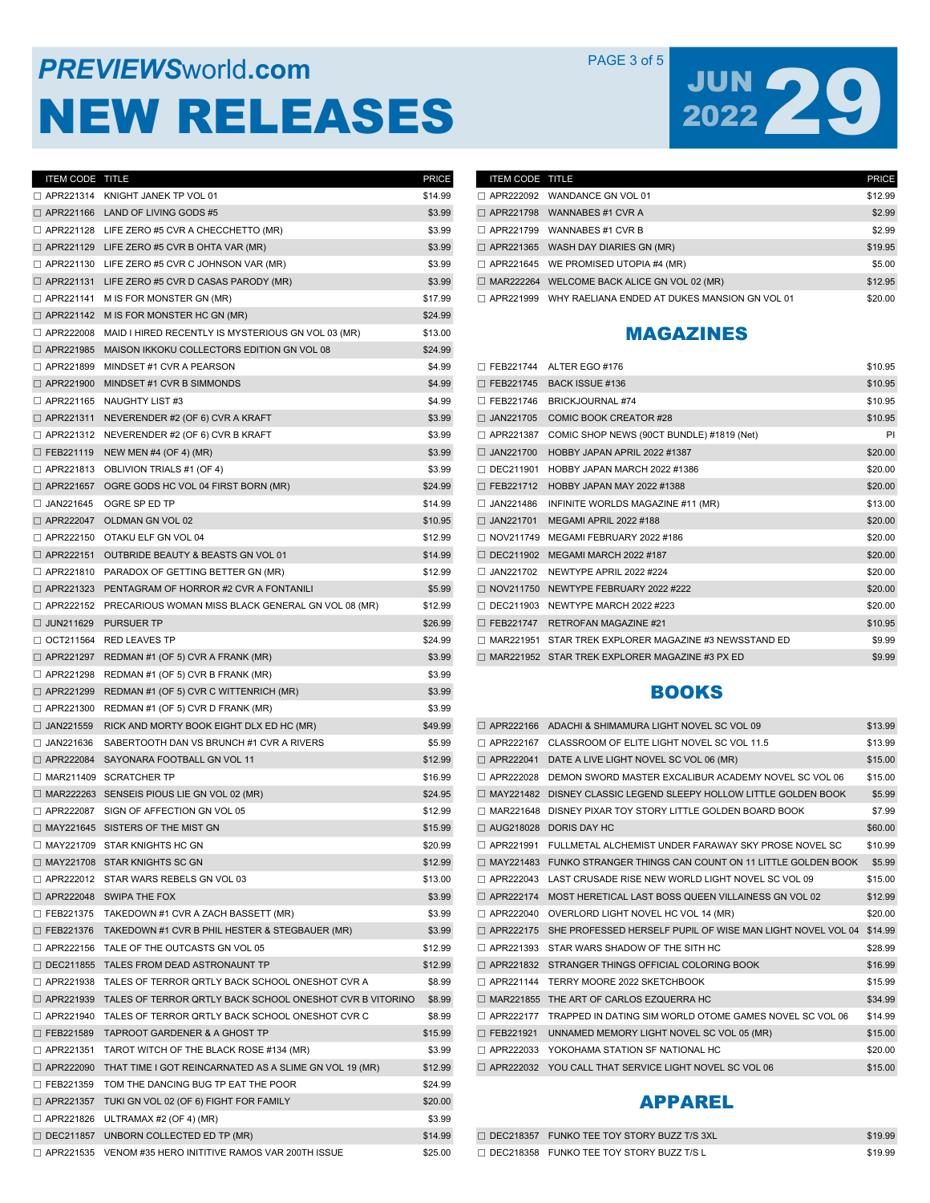# **PREVIEWS** World **.com PAGE 3 of 5** NEW RELEASES

# JUN 29

| ITEM CODE TITLE  |                                                                         | PRICE   |
|------------------|-------------------------------------------------------------------------|---------|
|                  | $\Box$ APR221314 KNIGHT JANEK TP VOL 01                                 | \$14.99 |
|                  | $\Box$ APR221166 LAND OF LIVING GODS #5                                 | \$3.99  |
|                  | $\Box$ APR221128 LIFE ZERO #5 CVR A CHECCHETTO (MR)                     | \$3.99  |
|                  | $\Box$ APR221129 LIFE ZERO #5 CVR B OHTA VAR (MR)                       | \$3.99  |
|                  | □ APR221130 LIFE ZERO #5 CVR C JOHNSON VAR (MR)                         | \$3.99  |
|                  | $\Box$ APR221131 LIFE ZERO #5 CVR D CASAS PARODY (MR)                   | \$3.99  |
| □ APR221141      | M IS FOR MONSTER GN (MR)                                                | \$17.99 |
| □ APR221142      | M IS FOR MONSTER HC GN (MR)                                             | \$24.99 |
| □ APR222008      | MAID I HIRED RECENTLY IS MYSTERIOUS GN VOL 03 (MR)                      | \$13.00 |
| □ APR221985      | MAISON IKKOKU COLLECTORS EDITION GN VOL 08                              | \$24.99 |
| □ APR221899      | MINDSET #1 CVR A PEARSON                                                | \$4.99  |
| □ APR221900      | MINDSET #1 CVR B SIMMONDS                                               | \$4.99  |
|                  | $\Box$ APR221165 NAUGHTY LIST #3                                        | \$4.99  |
|                  | $\Box$ APR221311 NEVERENDER #2 (OF 6) CVR A KRAFT                       | \$3.99  |
| □ APR221312      | NEVERENDER #2 (OF 6) CVR B KRAFT                                        | \$3.99  |
| □ FEB221119      | NEW MEN #4 (OF 4) (MR)                                                  | \$3.99  |
| □ APR221813      | OBLIVION TRIALS #1 (OF 4)                                               | \$3.99  |
| □ APR221657      | OGRE GODS HC VOL 04 FIRST BORN (MR)                                     | \$24.99 |
| □ JAN221645      | OGRE SP ED TP                                                           | \$14.99 |
|                  | $\Box$ APR222047 OLDMAN GN VOL 02                                       | \$10.95 |
|                  | □ APR222150 OTAKU ELF GN VOL 04                                         | \$12.99 |
|                  | APR222151 OUTBRIDE BEAUTY & BEASTS GN VOL 01                            | \$14.99 |
|                  | $\Box$ APR221810 PARADOX OF GETTING BETTER GN (MR)                      | \$12.99 |
| □ APR221323      | PENTAGRAM OF HORROR #2 CVR A FONTANILI                                  | \$5.99  |
| □ APR222152      | PRECARIOUS WOMAN MISS BLACK GENERAL GN VOL 08 (MR)                      | \$12.99 |
| □ JUN211629      | <b>PURSUER TP</b>                                                       | \$26.99 |
|                  | OCT211564 RED LEAVES TP                                                 | \$24.99 |
| □ APR221297      | REDMAN #1 (OF 5) CVR A FRANK (MR)                                       | \$3.99  |
|                  | $\Box$ APR221298 REDMAN #1 (OF 5) CVR B FRANK (MR)                      | \$3.99  |
| □ APR221299      | REDMAN #1 (OF 5) CVR C WITTENRICH (MR)                                  | \$3.99  |
| □ APR221300      | REDMAN #1 (OF 5) CVR D FRANK (MR)                                       | \$3.99  |
| $\Box$ JAN221559 | RICK AND MORTY BOOK EIGHT DLX ED HC (MR)                                | \$49.99 |
| □ JAN221636      | SABERTOOTH DAN VS BRUNCH #1 CVR A RIVERS                                | \$5.99  |
| □ APR222084      | SAYONARA FOOTBALL GN VOL 11                                             | \$12.99 |
|                  | $\Box$ MAR211409 SCRATCHER TP                                           | \$16.99 |
|                  | MAR222263 SENSEIS PIOUS LIE GN VOL 02 (MR)                              | \$24.95 |
|                  | APR222087 SIGN OF AFFECTION GN VOL 05                                   | \$12.99 |
|                  | $\Box$ MAY221645 SISTERS OF THE MIST GN                                 | \$15.99 |
|                  | MAY221709 STAR KNIGHTS HC GN                                            | \$20.99 |
|                  | $\Box$ MAY221708 STAR KNIGHTS SC GN                                     | \$12.99 |
|                  | APR222012 STAR WARS REBELS GN VOL 03                                    | \$13.00 |
|                  | $\Box$ APR222048 SWIPA THE FOX                                          | \$3.99  |
|                  | □ FEB221375 TAKEDOWN #1 CVR A ZACH BASSETT (MR)                         | \$3.99  |
|                  | □ FEB221376 TAKEDOWN #1 CVR B PHIL HESTER & STEGBAUER (MR)              | \$3.99  |
|                  | APR222156 TALE OF THE OUTCASTS GN VOL 05                                | \$12.99 |
|                  | DEC211855 TALES FROM DEAD ASTRONAUNT TP                                 | \$12.99 |
| □ APR221938      | TALES OF TERROR QRTLY BACK SCHOOL ONESHOT CVR A                         | \$8.99  |
| □ APR221939      | TALES OF TERROR QRTLY BACK SCHOOL ONESHOT CVR B VITORINO                | \$8.99  |
| □ APR221940      | TALES OF TERROR QRTLY BACK SCHOOL ONESHOT CVR C                         | \$8.99  |
| □ FEB221589      | TAPROOT GARDENER & A GHOST TP                                           | \$15.99 |
| □ APR221351      | TAROT WITCH OF THE BLACK ROSE #134 (MR)                                 | \$3.99  |
|                  | $\Box$ APR222090 THAT TIME I GOT REINCARNATED AS A SLIME GN VOL 19 (MR) | \$12.99 |
| □ FEB221359      | TOM THE DANCING BUG TP EAT THE POOR                                     | \$24.99 |
|                  | $\Box$ APR221357 TUKI GN VOL 02 (OF 6) FIGHT FOR FAMILY                 | \$20.00 |
| □ APR221826      | ULTRAMAX #2 (OF 4) (MR)                                                 | \$3.99  |
|                  | $\Box$ DEC211857 UNBORN COLLECTED ED TP (MR)                            | \$14.99 |
|                  | □ APR221535 VENOM #35 HERO INITITIVE RAMOS VAR 200TH ISSUE              | \$25.00 |

| <b>ITEM CODE TITLE</b> |                                                                | <b>PRICE</b> |
|------------------------|----------------------------------------------------------------|--------------|
|                        | $\Box$ APR222092 WANDANCE GN VOL 01                            | \$12.99      |
|                        | $\Box$ APR221798 WANNABES #1 CVR A                             | \$2.99       |
|                        | $\Box$ APR221799 WANNABES #1 CVR B                             | \$2.99       |
|                        | $\Box$ APR221365 WASH DAY DIARIES GN (MR)                      | \$19.95      |
|                        | $\Box$ APR221645 WE PROMISED UTOPIA #4 (MR)                    | \$5.00       |
|                        | $\Box$ MAR222264 WELCOME BACK ALICE GN VOL 02 (MR)             | \$12.95      |
|                        | $\Box$ APR221999 WHY RAELIANA ENDED AT DUKES MANSION GN VOL 01 | \$20.00      |

#### MAGAZINES

| $\Box$ FEB221744 | ALTER EGO #176                                 | \$10.95 |
|------------------|------------------------------------------------|---------|
| $\Box$ FEB221745 | BACK ISSUE #136                                | \$10.95 |
| $\Box$ FEB221746 | <b>BRICKJOURNAL #74</b>                        | \$10.95 |
| $\Box$ JAN221705 | COMIC BOOK CREATOR #28                         | \$10.95 |
| □ APR221387      | COMIC SHOP NEWS (90CT BUNDLE) #1819 (Net)      | PI      |
| $\Box$ JAN221700 | HOBBY JAPAN APRIL 2022 #1387                   | \$20.00 |
| $\Box$ DEC211901 | HOBBY JAPAN MARCH 2022 #1386                   | \$20.00 |
| $\Box$ FEB221712 | <b>HOBBY JAPAN MAY 2022 #1388</b>              | \$20.00 |
| $\Box$ JAN221486 | INFINITE WORLDS MAGAZINE #11 (MR)              | \$13.00 |
| $\Box$ JAN221701 | <b>MEGAMI APRIL 2022 #188</b>                  | \$20.00 |
| $\Box$ NOV211749 | MEGAMI FEBRUARY 2022 #186                      | \$20.00 |
| $\Box$ DEC211902 | <b>MEGAMI MARCH 2022 #187</b>                  | \$20.00 |
| $\Box$ JAN221702 | NEWTYPE APRIL 2022 #224                        | \$20.00 |
| $\Box$ NOV211750 | NEWTYPE FEBRUARY 2022 #222                     | \$20.00 |
| □ DEC211903      | NEWTYPE MARCH 2022 #223                        | \$20.00 |
| □ FEB221747      | <b>RETROFAN MAGAZINE #21</b>                   | \$10.95 |
| MAR221951        | STAR TREK EXPLORER MAGAZINE #3 NEWSSTAND ED    | \$9.99  |
|                  | MAR221952 STAR TREK EXPLORER MAGAZINE #3 PX ED | \$9.99  |

## BOOKS

| □ APR222166      | ADACHI & SHIMAMURA LIGHT NOVEL SC VOL 09                   | \$13.99 |
|------------------|------------------------------------------------------------|---------|
| $\Box$ APR222167 | CLASSROOM OF ELITE LIGHT NOVEL SC VOL 11.5                 | \$13.99 |
| □ APR222041      | DATE A LIVE LIGHT NOVEL SC VOL 06 (MR)                     | \$15.00 |
| □ APR222028      | DEMON SWORD MASTER EXCALIBUR ACADEMY NOVEL SC VOL 06       | \$15.00 |
| □ MAY221482      | DISNEY CLASSIC LEGEND SLEEPY HOLLOW LITTLE GOLDEN BOOK     | \$5.99  |
| □ MAR221648      | DISNEY PIXAR TOY STORY LITTLE GOLDEN BOARD BOOK            | \$7.99  |
| □ AUG218028      | DORIS DAY HC                                               | \$60.00 |
| □ APR221991      | FULLMETAL ALCHEMIST UNDER FARAWAY SKY PROSE NOVEL SC       | \$10.99 |
| □ MAY221483      | FUNKO STRANGER THINGS CAN COUNT ON 11 LITTLE GOLDEN BOOK   | \$5.99  |
| □ APR222043      | LAST CRUSADE RISE NEW WORLD LIGHT NOVEL SC VOL 09          | \$15.00 |
| □ APR222174      | MOST HERETICAL LAST BOSS QUEEN VILLAINESS GN VOL 02        | \$12.99 |
| □ APR222040      | OVERLORD LIGHT NOVEL HC VOL 14 (MR)                        | \$20.00 |
| □ APR222175      | SHE PROFESSED HERSELF PUPIL OF WISE MAN LIGHT NOVEL VOL 04 | \$14.99 |
| □ APR221393      | STAR WARS SHADOW OF THE SITH HC                            | \$28.99 |
| □ APR221832      | STRANGER THINGS OFFICIAL COLORING BOOK                     | \$16.99 |
| □ APR221144      | TERRY MOORE 2022 SKETCHBOOK                                | \$15.99 |
| □ MAR221855      | THE ART OF CARLOS EZOUERRA HC                              | \$34.99 |
| □ APR222177      | TRAPPED IN DATING SIM WORLD OTOME GAMES NOVEL SC VOL 06    | \$14.99 |
| □ FEB221921      | UNNAMED MEMORY LIGHT NOVEL SC VOL 05 (MR)                  | \$15.00 |
| □ APR222033      | YOKOHAMA STATION SF NATIONAL HC                            | \$20.00 |
| □ APR222032      | YOU CALL THAT SERVICE LIGHT NOVEL SC VOL 06                | \$15.00 |

# APPAREL

| $\Box$ DEC218357 FUNKO TEE TOY STORY BUZZ T/S 3XL | \$19.99 |
|---------------------------------------------------|---------|
| $\Box$ DEC218358 FUNKO TEE TOY STORY BUZZ T/S L   | \$19.99 |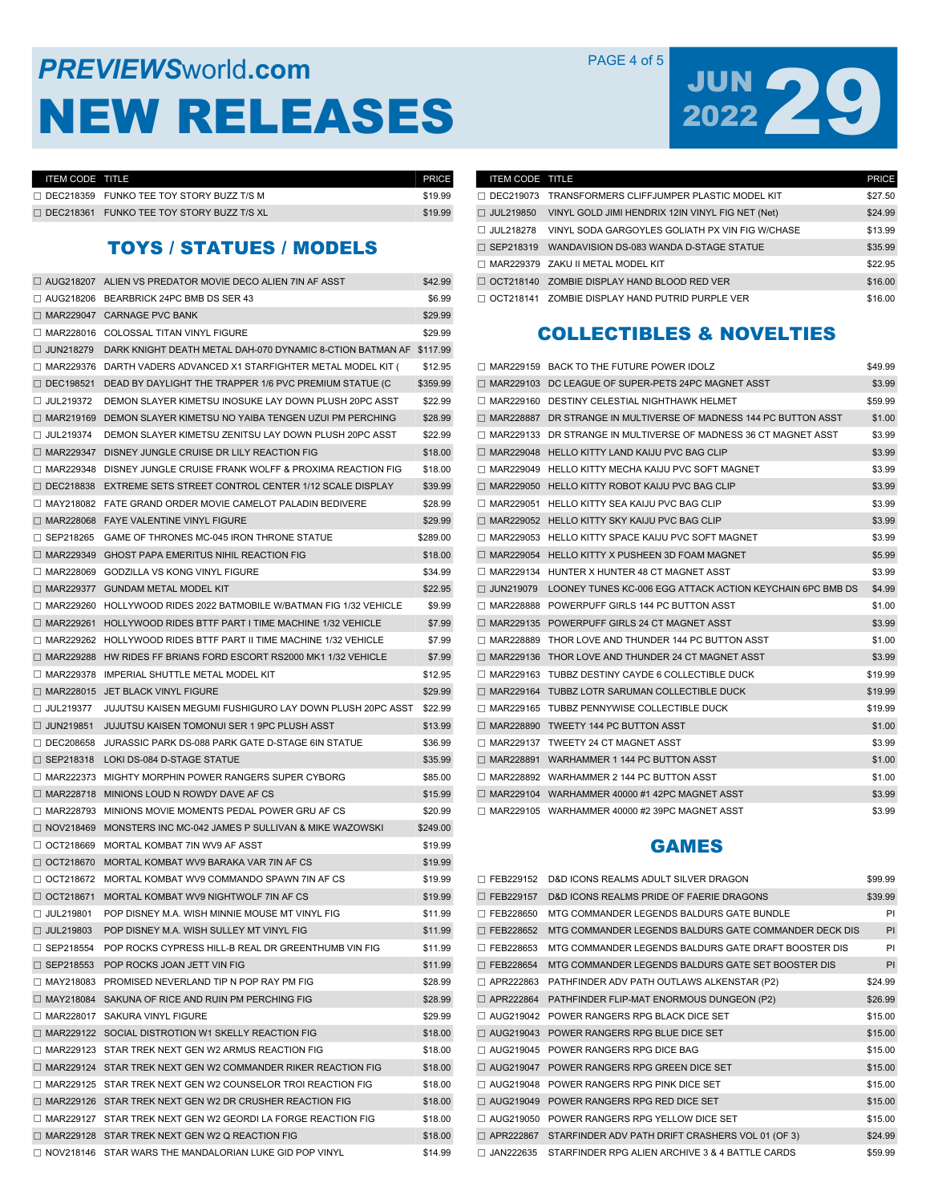# **PREVIEWS** WORLD **COM** PAGE 4 of 5 NEW RELEASES



| <b>ITEM CODE TITLE</b> |                                                 | <b>PRICE</b> |
|------------------------|-------------------------------------------------|--------------|
|                        | $\Box$ DEC218359 FUNKO TEE TOY STORY BUZZ T/S M | \$19.99      |
| $\Box$ DEC218361       | FUNKO TEE TOY STORY BUZZ T/S XL                 | \$19.99      |

# TOYS / STATUES / MODELS

|                  | □ AUG218207 ALIEN VS PREDATOR MOVIE DECO ALIEN 7IN AF ASST                 | \$42.99  |
|------------------|----------------------------------------------------------------------------|----------|
|                  | $\Box$ AUG218206 BEARBRICK 24PC BMB DS SER 43                              | \$6.99   |
|                  | $\Box$ MAR229047 CARNAGE PVC BANK                                          | \$29.99  |
|                  | □ MAR228016 COLOSSAL TITAN VINYL FIGURE                                    | \$29.99  |
|                  | $\Box$ JUN218279 DARK KNIGHT DEATH METAL DAH-070 DYNAMIC 8-CTION BATMAN AF | \$117.99 |
|                  | $\Box$ MAR229376 DARTH VADERS ADVANCED X1 STARFIGHTER METAL MODEL KIT (    | \$12.95  |
| □ DEC198521      | DEAD BY DAYLIGHT THE TRAPPER 1/6 PVC PREMIUM STATUE (C                     | \$359.99 |
| $\Box$ JUL219372 | DEMON SLAYER KIMETSU INOSUKE LAY DOWN PLUSH 20PC ASST                      | \$22.99  |
|                  | □ MAR219169 DEMON SLAYER KIMETSU NO YAIBA TENGEN UZUI PM PERCHING          | \$28.99  |
| $\Box$ JUL219374 | DEMON SLAYER KIMETSU ZENITSU LAY DOWN PLUSH 20PC ASST                      | \$22.99  |
|                  | □ MAR229347 DISNEY JUNGLE CRUISE DR LILY REACTION FIG                      | \$18.00  |
|                  | □ MAR229348 DISNEY JUNGLE CRUISE FRANK WOLFF & PROXIMA REACTION FIG        | \$18.00  |
|                  | $\Box$ DEC218838 EXTREME SETS STREET CONTROL CENTER 1/12 SCALE DISPLAY     | \$39.99  |
|                  | □ MAY218082 FATE GRAND ORDER MOVIE CAMELOT PALADIN BEDIVERE                | \$28.99  |
|                  | $\Box$ MAR228068 FAYE VALENTINE VINYL FIGURE                               | \$29.99  |
|                  | $\Box$ SEP218265 GAME OF THRONES MC-045 IRON THRONE STATUE                 | \$289.00 |
|                  | $\Box$ MAR229349 GHOST PAPA EMERITUS NIHIL REACTION FIG                    | \$18.00  |
|                  | MAR228069 GODZILLA VS KONG VINYL FIGURE                                    | \$34.99  |
|                  | $\Box$ MAR229377 GUNDAM METAL MODEL KIT                                    | \$22.95  |
|                  | $\Box$ MAR229260 HOLLYWOOD RIDES 2022 BATMOBILE W/BATMAN FIG 1/32 VEHICLE  | \$9.99   |
| □ MAR229261      | HOLLYWOOD RIDES BTTF PART I TIME MACHINE 1/32 VEHICLE                      | \$7.99   |
|                  | $\Box$ MAR229262 HOLLYWOOD RIDES BTTF PART II TIME MACHINE 1/32 VEHICLE    | \$7.99   |
|                  | $\Box$ MAR229288 HW RIDES FF BRIANS FORD ESCORT RS2000 MK1 1/32 VEHICLE    | \$7.99   |
|                  | $\Box$ MAR229378 IMPERIAL SHUTTLE METAL MODEL KIT                          | \$12.95  |
|                  | $\Box$ MAR228015 JET BLACK VINYL FIGURE                                    | \$29.99  |
| $\Box$ JUL219377 | JUJUTSU KAISEN MEGUMI FUSHIGURO LAY DOWN PLUSH 20PC ASST                   | \$22.99  |
| $\Box$ JUN219851 | JUJUTSU KAISEN TOMONUI SER 1 9PC PLUSH ASST                                | \$13.99  |
| $\Box$ DEC208658 | JURASSIC PARK DS-088 PARK GATE D-STAGE 6IN STATUE                          | \$36.99  |
| $\Box$ SEP218318 | LOKI DS-084 D-STAGE STATUE                                                 | \$35.99  |
| □ MAR222373      | MIGHTY MORPHIN POWER RANGERS SUPER CYBORG                                  | \$85.00  |
| □ MAR228718      | MINIONS LOUD N ROWDY DAVE AF CS                                            | \$15.99  |
|                  | $\Box$ MAR228793 MINIONS MOVIE MOMENTS PEDAL POWER GRU AF CS               | \$20.99  |
| $\Box$ NOV218469 | MONSTERS INC MC-042 JAMES P SULLIVAN & MIKE WAZOWSKI                       | \$249.00 |
| $\Box$ OCT218669 | MORTAL KOMBAT 7IN WV9 AF ASST                                              | \$19.99  |
| $\Box$ OCT218670 | MORTAL KOMBAT WV9 BARAKA VAR 7IN AF CS                                     | \$19.99  |
| $\Box$ OCT218672 | MORTAL KOMBAT WV9 COMMANDO SPAWN 7IN AF CS                                 | \$19.99  |
| $\Box$ OCT218671 | MORTAL KOMBAT WV9 NIGHTWOLF 7IN AF CS                                      | \$19.99  |
| □ JUL219801      | POP DISNEY M.A. WISH MINNIE MOUSE MT VINYL FIG                             | \$11.99  |
| □ JUL219803      | POP DISNEY M.A. WISH SULLEY MT VINYL FIG                                   | \$11.99  |
| $\Box$ SEP218554 | POP ROCKS CYPRESS HILL-B REAL DR GREENTHUMB VIN FIG                        | \$11.99  |
|                  | $\Box$ SEP218553 POP ROCKS JOAN JETT VIN FIG                               | \$11.99  |
|                  | $\Box$ MAY218083 PROMISED NEVERLAND TIP N POP RAY PM FIG                   | \$28.99  |
|                  | MAY218084 SAKUNA OF RICE AND RUIN PM PERCHING FIG                          | \$28.99  |
|                  | MAR228017 SAKURA VINYL FIGURE                                              | \$29.99  |
|                  | MAR229122 SOCIAL DISTROTION W1 SKELLY REACTION FIG                         | \$18.00  |
|                  | MAR229123 STAR TREK NEXT GEN W2 ARMUS REACTION FIG                         | \$18.00  |
|                  | □ MAR229124 STAR TREK NEXT GEN W2 COMMANDER RIKER REACTION FIG             | \$18.00  |
|                  | □ MAR229125 STAR TREK NEXT GEN W2 COUNSELOR TROI REACTION FIG              | \$18.00  |
|                  | □ MAR229126 STAR TREK NEXT GEN W2 DR CRUSHER REACTION FIG                  | \$18.00  |
|                  | □ MAR229127 STAR TREK NEXT GEN W2 GEORDI LA FORGE REACTION FIG             | \$18.00  |
|                  | MAR229128 STAR TREK NEXT GEN W2 Q REACTION FIG                             | \$18.00  |
|                  | □ NOV218146 STAR WARS THE MANDALORIAN LUKE GID POP VINYL                   | \$14.99  |

| <b>ITEM CODE TITLE</b> |                                                             | <b>PRICE</b> |
|------------------------|-------------------------------------------------------------|--------------|
|                        | $\Box$ DEC219073 TRANSFORMERS CLIFFJUMPER PLASTIC MODEL KIT | \$27.50      |
| $\Box$ JUL219850       | VINYL GOLD JIMI HENDRIX 12IN VINYL FIG NET (Net)            | \$24.99      |
| $\Box$ JUL218278       | VINYL SODA GARGOYLES GOLIATH PX VIN FIG W/CHASE             | \$13.99      |
| $\Box$ SEP218319       | WANDAVISION DS-083 WANDA D-STAGE STATUE                     | \$35.99      |
|                        | $\Box$ MAR229379 ZAKU II METAL MODEL KIT                    | \$22.95      |
| $\Box$ OCT218140       | ZOMBIE DISPLAY HAND BLOOD RED VER                           | \$16.00      |
|                        | $\Box$ OCT218141 ZOMBIE DISPLAY HAND PUTRID PURPLE VER      | \$16.00      |

# COLLECTIBLES & NOVELTIES

|                  | □ MAR229159 BACK TO THE FUTURE POWER IDOLZ                         | \$49.99 |
|------------------|--------------------------------------------------------------------|---------|
|                  | □ MAR229103 DC LEAGUE OF SUPER-PETS 24PC MAGNET ASST               | \$3.99  |
|                  | $\Box$ MAR229160 DESTINY CELESTIAL NIGHTHAWK HELMET                | \$59.99 |
|                  | □ MAR228887 DR STRANGE IN MULTIVERSE OF MADNESS 144 PC BUTTON ASST | \$1.00  |
|                  | □ MAR229133 DR STRANGE IN MULTIVERSE OF MADNESS 36 CT MAGNET ASST  | \$3.99  |
|                  | $\Box$ MAR229048 HELLO KITTY LAND KAIJU PVC BAG CLIP               | \$3.99  |
|                  | □ MAR229049 HELLO KITTY MECHA KAIJU PVC SOFT MAGNET                | \$3.99  |
|                  | □ MAR229050 HELLO KITTY ROBOT KAIJU PVC BAG CLIP                   | \$3.99  |
|                  | $\Box$ MAR229051 HELLO KITTY SEA KAIJU PVC BAG CLIP                | \$3.99  |
|                  | □ MAR229052 HELLO KITTY SKY KAIJU PVC BAG CLIP                     | \$3.99  |
|                  | MAR229053 HELLO KITTY SPACE KAIJU PVC SOFT MAGNET                  | \$3.99  |
|                  | $\Box$ MAR229054 HELLO KITTY X PUSHEEN 3D FOAM MAGNET              | \$5.99  |
|                  | $\Box$ MAR229134 HUNTER X HUNTER 48 CT MAGNET ASST                 | \$3.99  |
| $\Box$ JUN219079 | LOONEY TUNES KC-006 EGG ATTACK ACTION KEYCHAIN 6PC BMB DS          | \$4.99  |
|                  | $\Box$ MAR228888 POWERPUFF GIRLS 144 PC BUTTON ASST                | \$1.00  |
|                  | MAR229135 POWERPUFF GIRLS 24 CT MAGNET ASST                        | \$3.99  |
|                  | □ MAR228889 THOR LOVE AND THUNDER 144 PC BUTTON ASST               | \$1.00  |
|                  | □ MAR229136 THOR LOVE AND THUNDER 24 CT MAGNET ASST                | \$3.99  |
|                  | MAR229163 TUBBZ DESTINY CAYDE 6 COLLECTIBLE DUCK                   | \$19.99 |
|                  | $\Box$ MAR229164 TUBBZ LOTR SARUMAN COLLECTIBLE DUCK               | \$19.99 |
|                  | $\Box$ MAR229165 TUBBZ PENNYWISE COLLECTIBLE DUCK                  | \$19.99 |
|                  | □ MAR228890 TWEETY 144 PC BUTTON ASST                              | \$1.00  |
|                  | $\Box$ MAR229137 TWEETY 24 CT MAGNET ASST                          | \$3.99  |
|                  | □ MAR228891 WARHAMMER 1 144 PC BUTTON ASST                         | \$1.00  |
|                  | $\Box$ MAR228892 WARHAMMER 2 144 PC BUTTON ASST                    | \$1.00  |
|                  | $\Box$ MAR229104 WARHAMMER 40000 #1 42PC MAGNET ASST               | \$3.99  |
|                  | MAR229105 WARHAMMER 40000 #2 39PC MAGNET ASST                      | \$3.99  |

# GAMES

| FEB229152        | D&D ICONS REALMS ADULT SILVER DRAGON                  | \$99.99 |
|------------------|-------------------------------------------------------|---------|
| $\Box$ FEB229157 | D&D ICONS REALMS PRIDE OF FAERIE DRAGONS              | \$39.99 |
| FEB228650        | MTG COMMANDER LEGENDS BALDURS GATE BUNDLE             | PI      |
| $\Box$ FEB228652 | MTG COMMANDER LEGENDS BALDURS GATE COMMANDER DECK DIS | PI      |
| FEB228653<br>п   | MTG COMMANDER LEGENDS BALDURS GATE DRAFT BOOSTER DIS  | PI      |
| $\Box$ FEB228654 | MTG COMMANDER LEGENDS BALDURS GATE SET BOOSTER DIS    | PI      |
| APR222863        | PATHFINDER ADV PATH OUTLAWS ALKENSTAR (P2)            | \$24.99 |
| APR222864        | PATHFINDER FLIP-MAT ENORMOUS DUNGEON (P2)             | \$26.99 |
| AUG219042        | POWER RANGERS RPG BLACK DICE SET                      | \$15.00 |
| □ AUG219043      | POWER RANGERS RPG BLUE DICE SET                       | \$15.00 |
| AUG219045        | POWER RANGERS RPG DICE BAG                            | \$15.00 |
| $\Box$ AUG219047 | POWER RANGERS RPG GREEN DICE SET                      | \$15.00 |
| AUG219048        | POWER RANGERS RPG PINK DICE SET                       | \$15.00 |
| □ AUG219049      | POWER RANGERS RPG RED DICE SET                        | \$15.00 |
| AUG219050        | POWER RANGERS RPG YELLOW DICE SET                     | \$15.00 |
| □ APR222867      | STARFINDER ADV PATH DRIFT CRASHERS VOL 01 (OF 3)      | \$24.99 |
| $\Box$ JAN222635 | STARFINDER RPG ALIEN ARCHIVE 3 & 4 BATTLE CARDS       | \$59.99 |